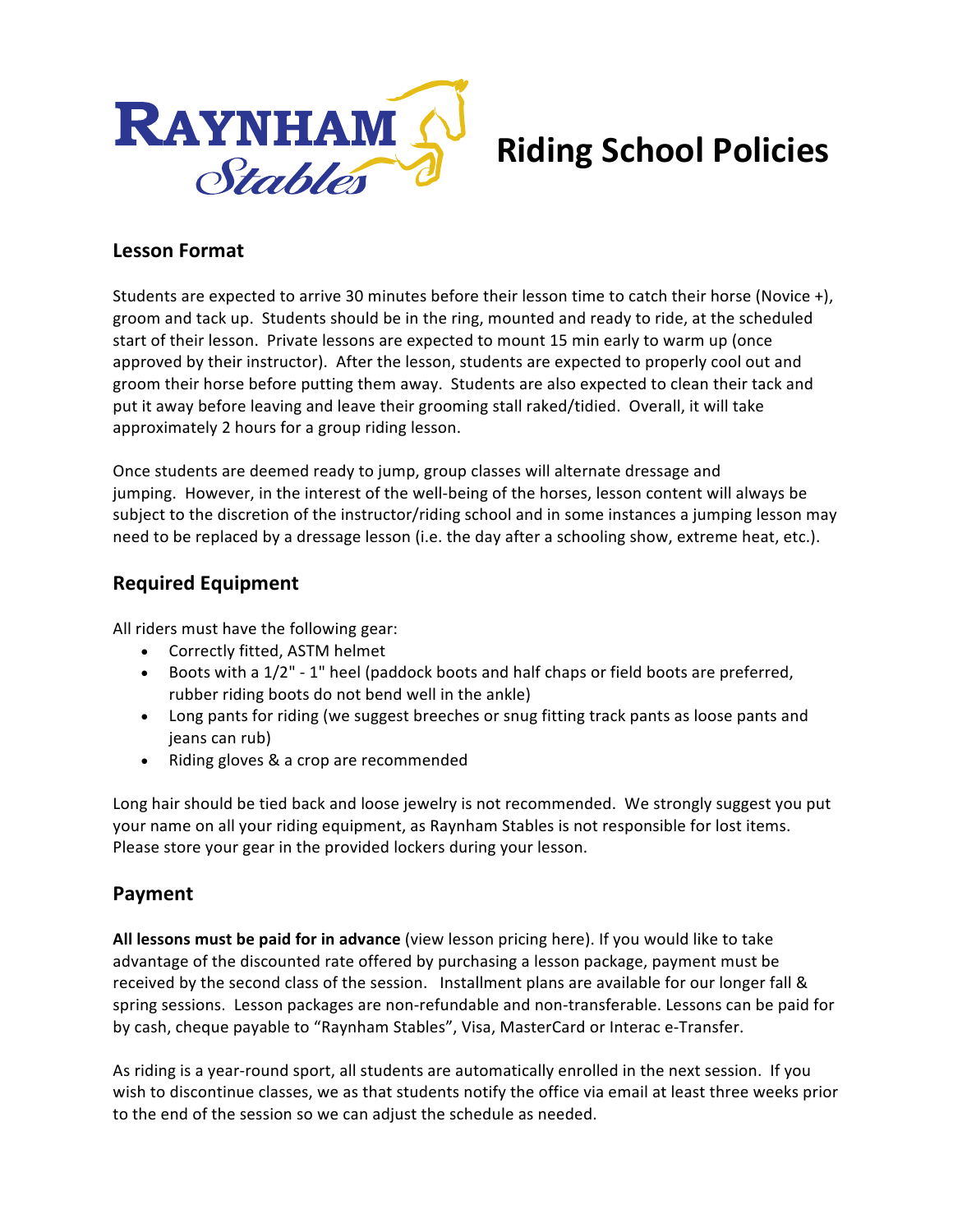

# **Riding School Policies**

#### **Lesson Format**

Students are expected to arrive 30 minutes before their lesson time to catch their horse (Novice +), groom and tack up. Students should be in the ring, mounted and ready to ride, at the scheduled start of their lesson. Private lessons are expected to mount 15 min early to warm up (once approved by their instructor). After the lesson, students are expected to properly cool out and groom their horse before putting them away. Students are also expected to clean their tack and put it away before leaving and leave their grooming stall raked/tidied. Overall, it will take approximately 2 hours for a group riding lesson.

Once students are deemed ready to jump, group classes will alternate dressage and jumping. However, in the interest of the well-being of the horses, lesson content will always be subject to the discretion of the instructor/riding school and in some instances a jumping lesson may need to be replaced by a dressage lesson (i.e. the day after a schooling show, extreme heat, etc.).

### **Required Equipment**

All riders must have the following gear:

- Correctly fitted, ASTM helmet
- Boots with a 1/2" 1" heel (paddock boots and half chaps or field boots are preferred, rubber riding boots do not bend well in the ankle)
- Long pants for riding (we suggest breeches or snug fitting track pants as loose pants and jeans can rub)
- Riding gloves & a crop are recommended

Long hair should be tied back and loose jewelry is not recommended. We strongly suggest you put your name on all your riding equipment, as Raynham Stables is not responsible for lost items. Please store your gear in the provided lockers during your lesson.

### **Payment**

All lessons must be paid for in advance (view lesson pricing here). If you would like to take advantage of the discounted rate offered by purchasing a lesson package, payment must be received by the second class of the session. Installment plans are available for our longer fall & spring sessions. Lesson packages are non-refundable and non-transferable. Lessons can be paid for by cash, cheque payable to "Raynham Stables", Visa, MasterCard or Interac e-Transfer.

As riding is a year-round sport, all students are automatically enrolled in the next session. If you wish to discontinue classes, we as that students notify the office via email at least three weeks prior to the end of the session so we can adjust the schedule as needed.